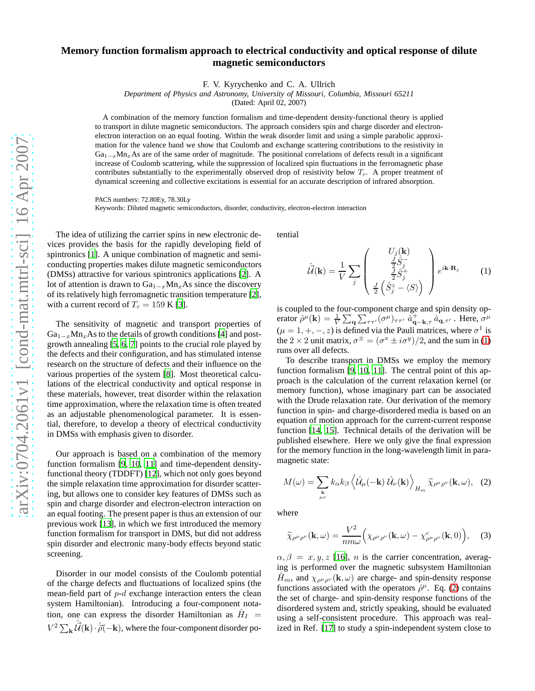## **Memory function formalism approach to electrical conductivity and optical response of dilute magnetic semiconductors**

F. V. Kyrychenko and C. A. Ullrich

*Department of Physics and Astronomy, University of Missouri, Columbia, Missouri 65211*

(Dated: April 02, 2007)

A combination of the memory function formalism and time-dependent density-functional theory is applied to transport in dilute magnetic semiconductors. The approach considers spin and charge disorder and electronelectron interaction on an equal footing. Within the weak disorder limit and using a simple parabolic approximation for the valence band we show that Coulomb and exchange scattering contributions to the resistivity in  $Ga_{1-x}Mn_x$ As are of the same order of magnitude. The positional correlations of defects result in a significant increase of Coulomb scattering, while the suppression of localized spin fluctuations in the ferromagnetic phase contributes substantially to the experimentally observed drop of resistivity below  $T_c$ . A proper treatment of dynamical screening and collective excitations is essential for an accurate description of infrared absorption.

PACS numbers: 72.80Ey, 78.30Ly

Keywords: Diluted magnetic semiconductors, disorder, conductivity, electron-electron interaction

The idea of utilizing the carrier spins in new electronic devices provides the basis for the rapidly developing field of spintronics [\[1\]](#page-3-0). A unique combination of magnetic and semiconducting properties makes dilute magnetic semiconductors (DMSs) attractive for various spintronics applications [\[2\]](#page-3-1). A lot of attention is drawn to  $Ga_{1-x}Mn_xAs$  since the discovery of its relatively high ferromagnetic transition temperature [\[2](#page-3-1)], with a current record of  $T_c = 159$  K [\[3](#page-3-2)].

The sensitivity of magnetic and transport properties of  $Ga_{1-x}Mn_xAs$  to the details of growth conditions [\[4](#page-3-3)] and postgrowth annealing [\[5](#page-3-4), [6](#page-3-5), [7](#page-3-6)] points to the crucial role played by the defects and their configuration, and has stimulated intense research on the structure of defects and their influence on the various properties of the system [\[8](#page-3-7)]. Most theoretical calculations of the electrical conductivity and optical response in these materials, however, treat disorder within the relaxation time approximation, where the relaxation time is often treated as an adjustable phenomenological parameter. It is essential, therefore, to develop a theory of electrical conductivity in DMSs with emphasis given to disorder.

Our approach is based on a combination of the memory function formalism [\[9,](#page-3-8) [10](#page-3-9), [11\]](#page-3-10) and time-dependent densityfunctional theory (TDDFT) [\[12](#page-3-11)], which not only goes beyond the simple relaxation time approximation for disorder scattering, but allows one to consider key features of DMSs such as spin and charge disorder and electron-electron interaction on an equal footing. The present paper is thus an extension of our previous work [\[13](#page-3-12)], in which we first introduced the memory function formalism for transport in DMS, but did not address spin disorder and electronic many-body effects beyond static screening.

Disorder in our model consists of the Coulomb potential of the charge defects and fluctuations of localized spins (the mean-field part of  $p-d$  exchange interaction enters the clean system Hamiltonian). Introducing a four-component notation, one can express the disorder Hamiltonian as  $\hat{H}_I$  =  $V^2 \sum_{\bf k} \hat{\vec{\mathcal{U}}}({\bf k}) \cdot \hat{\vec{\rho}}(-{\bf k}),$  where the four-component disorder potential

<span id="page-0-0"></span>
$$
\hat{\mathcal{U}}(\mathbf{k}) = \frac{1}{V} \sum_{j} \begin{pmatrix} U_{j}(\mathbf{k}) \\ \frac{1}{2} \hat{S}_{j}^{-} \\ \frac{1}{2} \hat{S}_{j}^{+} \\ \frac{1}{2} \left( \hat{S}_{j}^{z} - \langle S \rangle \right) \end{pmatrix} e^{i \mathbf{k} \cdot \mathbf{R}_{j}} \qquad (1)
$$

is coupled to the four-component charge and spin density operator  $\hat{\rho}^{\mu}(\mathbf{k}) = \frac{1}{V} \sum_{\mathbf{q}} \sum_{\tau \tau'} (\sigma^{\mu})_{\tau \tau'} \hat{a}_{\mathbf{q}-\mathbf{k},\tau} + \hat{a}_{\mathbf{q},\tau'}$ . Here,  $\sigma^{\mu}$  $(\mu = 1, +, -, z)$  is defined via the Pauli matrices, where  $\sigma^1$  is the 2  $\times$  2 unit matrix,  $\sigma^{\pm} = (\sigma^x \pm i\sigma^y)/2$ , and the sum in [\(1\)](#page-0-0) runs over all defects.

To describe transport in DMSs we employ the memory function formalism [\[9,](#page-3-8) [10,](#page-3-9) [11](#page-3-10)]. The central point of this approach is the calculation of the current relaxation kernel (or memory function), whose imaginary part can be associated with the Drude relaxation rate. Our derivation of the memory function in spin- and charge-disordered media is based on an equation of motion approach for the current-current response function [\[14,](#page-3-13) [15\]](#page-3-14). Technical details of the derivation will be published elsewhere. Here we only give the final expression for the memory function in the long-wavelength limit in paramagnetic state:

<span id="page-0-1"></span>
$$
M(\omega) = \sum_{\substack{\mathbf{k} \\ \mu\nu}} k_{\alpha} k_{\beta} \left\langle \hat{\mathcal{U}}_{\mu}(-\mathbf{k}) \hat{\mathcal{U}}_{\nu}(\mathbf{k}) \right\rangle_{H_{m}} \widetilde{\chi}_{\rho^{\mu} \rho^{\nu}}(\mathbf{k}, \omega), \quad (2)
$$

where

$$
\widetilde{\chi}_{\rho^{\mu}\rho^{\nu}}(\mathbf{k},\omega) = \frac{V^2}{nm\omega} \Big(\chi_{\rho^{\mu}\rho^{\nu}}(\mathbf{k},\omega) - \chi^c_{\rho^{\mu}\rho^{\nu}}(\mathbf{k},0)\Big), \quad (3)
$$

 $\alpha, \beta = x, y, z$  [\[16\]](#page-3-15), *n* is the carrier concentration, averaging is performed over the magnetic subsystem Hamiltonian  $H_m$ , and  $\chi_{\rho^{\mu}\rho^{\nu}}(\mathbf{k}, \omega)$  are charge- and spin-density response functions associated with the operators  $\hat{\rho}^{\mu}$ . Eq. [\(2\)](#page-0-1) contains the set of charge- and spin-density response functions of the disordered system and, strictly speaking, should be evaluated using a self-consistent procedure. This approach was realized in Ref. [\[17\]](#page-3-16) to study a spin-independent system close to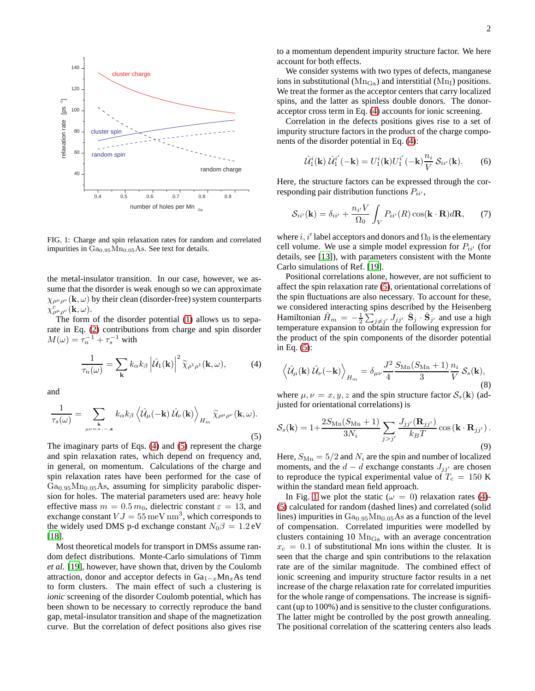

<span id="page-1-2"></span>FIG. 1: Charge and spin relaxation rates for random and correlated impurities in Ga<sub>0.95</sub>Mn<sub>0.05</sub>As. See text for details.

the metal-insulator transition. In our case, however, we assume that the disorder is weak enough so we can approximate  $\chi_{\rho^{\mu}\rho^{\nu}}(\mathbf{k},\omega)$  by their clean (disorder-free) system counterparts  $\chi^c_{\rho^\mu \rho^\nu}(\mathbf{k},\omega).$ 

The form of the disorder potential [\(1\)](#page-0-0) allows us to separate in Eq. [\(2\)](#page-0-1) contributions from charge and spin disorder  $M(\omega) = \tau_n^{-1} + \tau_s^{-1}$  with

<span id="page-1-0"></span>
$$
\frac{1}{\tau_n(\omega)} = \sum_{\mathbf{k}} k_{\alpha} k_{\beta} \left| \hat{\mathcal{U}}_1(\mathbf{k}) \right|^2 \widetilde{\chi}_{\rho^1 \rho^1}(\mathbf{k}, \omega), \tag{4}
$$

and

<span id="page-1-1"></span>
$$
\frac{1}{\tau_s(\omega)} = \sum_{\substack{\mathbf{k} \\ \mu\nu = +,-,\mathbf{z}}} k_{\alpha} k_{\beta} \left\langle \hat{\mathcal{U}}_{\mu}(-\mathbf{k}) \hat{\mathcal{U}}_{\nu}(\mathbf{k}) \right\rangle_{H_m} \widetilde{\chi}_{\rho^{\mu} \rho^{\nu}}(\mathbf{k},\omega).
$$
\n(5)

The imaginary parts of Eqs. [\(4\)](#page-1-0) and [\(5\)](#page-1-1) represent the charge and spin relaxation rates, which depend on frequency and, in general, on momentum. Calculations of the charge and spin relaxation rates have been performed for the case of  $Ga<sub>0.95</sub>Mn<sub>0.05</sub>As, assuming for simplicity parabolic disper$ sion for holes. The material parameters used are: heavy hole effective mass  $m = 0.5 m_0$ , dielectric constant  $\varepsilon = 13$ , and exchange constant  $VJ = 55 \,\text{meV} \,\text{nm}^3$ , which corresponds to the widely used DMS p-d exchange constant  $N_0\beta = 1.2$  eV [\[18](#page-3-17)].

Most theoretical models for transport in DMSs assume random defect distributions. Monte-Carlo simulations of Timm *et al.* [\[19\]](#page-3-18), however, have shown that, driven by the Coulomb attraction, donor and acceptor defects in  $Ga_{1-x}Mn_xAs$  tend to form clusters. The main effect of such a clustering is *ionic* screening of the disorder Coulomb potential, which has been shown to be necessary to correctly reproduce the band gap, metal-insulator transition and shape of the magnetization curve. But the correlation of defect positions also gives rise

to a momentum dependent impurity structure factor. We here account for both effects.

We consider systems with two types of defects, manganese ions in substitutional ( $Mn_{Ga}$ ) and interstitial ( $Mn_I$ ) positions. We treat the former as the acceptor centers that carry localized spins, and the latter as spinless double donors. The donoracceptor cross term in Eq. [\(4\)](#page-1-0) accounts for ionic screening.

Correlation in the defects positions gives rise to a set of impurity structure factors in the product of the charge components of the disorder potential in Eq. [\(4\)](#page-1-0):

$$
\hat{\mathcal{U}}_1^i(\mathbf{k}) \,\hat{\mathcal{U}}_1^{i'}(-\mathbf{k}) = U_1^i(\mathbf{k}) U_1^{i'}(-\mathbf{k}) \frac{n_i}{V} \,\mathcal{S}_{ii'}(\mathbf{k}).\tag{6}
$$

Here, the structure factors can be expressed through the corresponding pair distribution functions  $P_{ii'}$ ,

$$
S_{ii'}(\mathbf{k}) = \delta_{ii'} + \frac{n_{i'}V}{\Omega_0} \int_V P_{ii'}(R) \cos(\mathbf{k} \cdot \mathbf{R}) d\mathbf{R}, \qquad (7)
$$

where i, i' label acceptors and donors and  $\Omega_0$  is the elementary cell volume. We use a simple model expression for  $P_{ii'}$  (for details, see [\[13\]](#page-3-12)), with parameters consistent with the Monte Carlo simulations of Ref. [\[19\]](#page-3-18).

Positional correlations alone, however, are not sufficient to affect the spin relaxation rate [\(5\)](#page-1-1), orientational correlations of the spin fluctuations are also necessary. To account for these, we considered interacting spins described by the Heisenberg Hamiltonian  $\hat{H}_m = -\frac{1}{2} \sum_{j \neq j'} J_{jj'} \hat{\mathbf{S}}_j \cdot \hat{\mathbf{S}}_{j'}$  and use a high temperature expansion to obtain the following expression for the product of the spin components of the disorder potential in Eq. [\(5\)](#page-1-1):

$$
\left\langle \hat{\mathcal{U}}_{\mu}(\mathbf{k}) \hat{\mathcal{U}}_{\nu}(-\mathbf{k}) \right\rangle_{H_{m}} = \delta_{\mu\nu} \frac{J^{2}}{4} \frac{S_{\text{Mn}}(S_{\text{Mn}}+1)}{3} \frac{n_{i}}{V} \mathcal{S}_{s}(\mathbf{k}),
$$
\n(8)

where  $\mu, \nu = x, y, z$  and the spin structure factor  $S_s(\mathbf{k})$  (adjusted for orientational correlations) is

$$
S_s(\mathbf{k}) = 1 + \frac{2S_{\text{Mn}}(S_{\text{Mn}} + 1)}{3N_i} \sum_{j > j'} \frac{J_{jj'}(\mathbf{R}_{jj'})}{k_B T} \cos\left(\mathbf{k} \cdot \mathbf{R}_{jj'}\right). \tag{9}
$$

Here,  $S_{\text{Mn}} = 5/2$  and  $N_i$  are the spin and number of localized moments, and the  $d - d$  exchange constants  $J_{ji'}$  are chosen to reproduce the typical experimental value of  $T_c = 150$  K within the standard mean field approach.

In Fig. [1](#page-1-2) we plot the static ( $\omega = 0$ ) relaxation rates [\(4\)](#page-1-0)-[\(5\)](#page-1-1) calculated for random (dashed lines) and correlated (solid lines) impurities in  $Ga<sub>0.95</sub>Mn<sub>0.05</sub>As$  as a function of the level of compensation. Correlated impurities were modelled by clusters containing 10  $\rm Mn_{Ga}$  with an average concentration  $x_c = 0.1$  of substitutional Mn ions within the cluster. It is seen that the charge and spin contributions to the relaxation rate are of the similar magnitude. The combined effect of ionic screening and impurity structure factor results in a net increase of the charge relaxation rate for correlated impurities for the whole range of compensations. The increase is significant (up to 100%) and is sensitive to the cluster configurations. The latter might be controlled by the post growth annealing. The positional correlation of the scattering centers also leads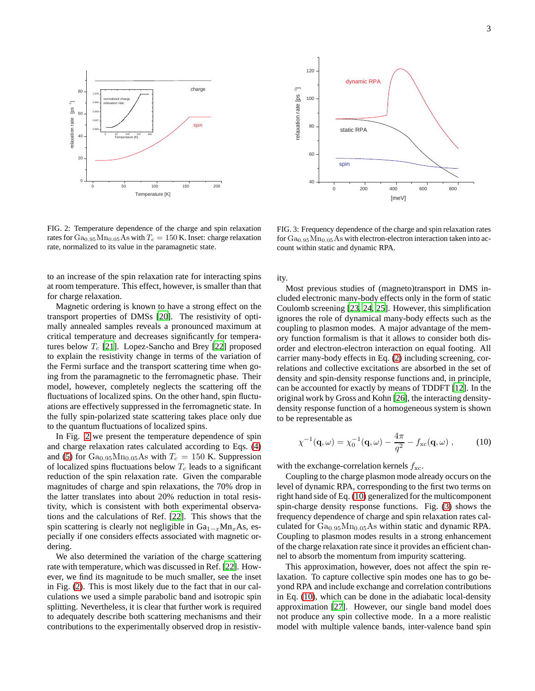

<span id="page-2-0"></span>FIG. 2: Temperature dependence of the charge and spin relaxation rates for  $Ga_{0.95}Mn_{0.05}As$  with  $T_c = 150$  K. Inset: charge relaxation rate, normalized to its value in the paramagnetic state.

to an increase of the spin relaxation rate for interacting spins at room temperature. This effect, however, is smaller than that for charge relaxation.

Magnetic ordering is known to have a strong effect on the transport properties of DMSs [\[20](#page-3-19)]. The resistivity of optimally annealed samples reveals a pronounced maximum at critical temperature and decreases significantly for temperatures below  $T_c$  [\[21\]](#page-3-20). Lopez-Sancho and Brey [\[22\]](#page-3-21) proposed to explain the resistivity change in terms of the variation of the Fermi surface and the transport scattering time when going from the paramagnetic to the ferromagnetic phase. Their model, however, completely neglects the scattering off the fluctuations of localized spins. On the other hand, spin fluctuations are effectively suppressed in the ferromagnetic state. In the fully spin-polarized state scattering takes place only due to the quantum fluctuations of localized spins.

In Fig. [2](#page-2-0) we present the temperature dependence of spin and charge relaxation rates calculated according to Eqs. [\(4\)](#page-1-0) and [\(5\)](#page-1-1) for  $Ga<sub>0.95</sub>Mn<sub>0.05</sub>As with T<sub>c</sub> = 150 K. suppression$ of localized spins fluctuations below  $T_c$  leads to a significant reduction of the spin relaxation rate. Given the comparable magnitudes of charge and spin relaxations, the 70% drop in the latter translates into about 20% reduction in total resistivity, which is consistent with both experimental observations and the calculations of Ref. [\[22](#page-3-21)]. This shows that the spin scattering is clearly not negligible in  $Ga_{1-x}Mn_xAs$ , especially if one considers effects associated with magnetic ordering.

We also determined the variation of the charge scattering rate with temperature, which was discussed in Ref. [\[22\]](#page-3-21). However, we find its magnitude to be much smaller, see the inset in Fig. [\(2\)](#page-2-0). This is most likely due to the fact that in our calculations we used a simple parabolic band and isotropic spin splitting. Nevertheless, it is clear that further work is required to adequately describe both scattering mechanisms and their contributions to the experimentally observed drop in resistiv-



<span id="page-2-2"></span>FIG. 3: Frequency dependence of the charge and spin relaxation rates for  $Ga<sub>0.95</sub>Mn<sub>0.05</sub>As with electron-electron interaction taken into ac$ count within static and dynamic RPA.

ity.

Most previous studies of (magneto)transport in DMS included electronic many-body effects only in the form of static Coulomb screening [\[23,](#page-3-22) [24,](#page-3-23) [25\]](#page-3-24). However, this simplification ignores the role of dynamical many-body effects such as the coupling to plasmon modes. A major advantage of the memory function formalism is that it allows to consider both disorder and electron-electron interaction on equal footing. All carrier many-body effects in Eq. [\(2\)](#page-0-1) including screening, correlations and collective excitations are absorbed in the set of density and spin-density response functions and, in principle, can be accounted for exactly by means of TDDFT [\[12\]](#page-3-11). In the original work by Gross and Kohn [\[26](#page-3-25)], the interacting densitydensity response function of a homogeneous system is shown to be representable as

<span id="page-2-1"></span>
$$
\chi^{-1}(\mathbf{q},\omega) = \chi_0^{-1}(\mathbf{q},\omega) - \frac{4\pi}{q^2} - f_{\rm xc}(\mathbf{q},\omega) ,\qquad (10)
$$

with the exchange-correlation kernels  $f_{\text{xc}}$ .

Coupling to the charge plasmon mode already occurs on the level of dynamic RPA, corresponding to the first two terms on right hand side of Eq. [\(10\)](#page-2-1) generalized for the multicomponent spin-charge density response functions. Fig. [\(3\)](#page-2-2) shows the frequency dependence of charge and spin relaxation rates calculated for  $Ga<sub>0.95</sub>Mn<sub>0.05</sub>As within static and dynamic RPA.$ Coupling to plasmon modes results in a strong enhancement of the charge relaxation rate since it provides an efficient channel to absorb the momentum from impurity scattering.

This approximation, however, does not affect the spin relaxation. To capture collective spin modes one has to go beyond RPA and include exchange and correlation contributions in Eq. [\(10\)](#page-2-1), which can be done in the adiabatic local-density approximation [\[27](#page-3-26)]. However, our single band model does not produce any spin collective mode. In a a more realistic model with multiple valence bands, inter-valence band spin